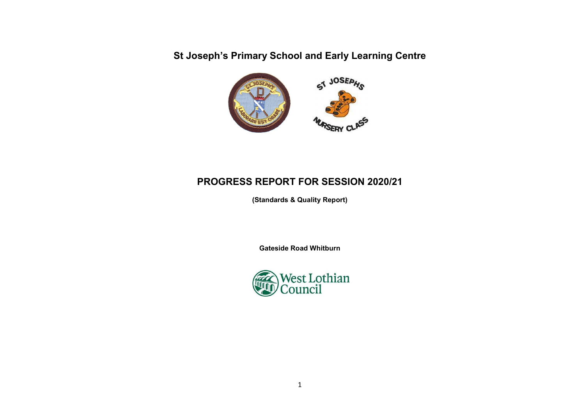St Joseph's Primary School and Early Learning Centre



# PROGRESS REPORT FOR SESSION 2020/21

(Standards & Quality Report)

Gateside Road Whitburn

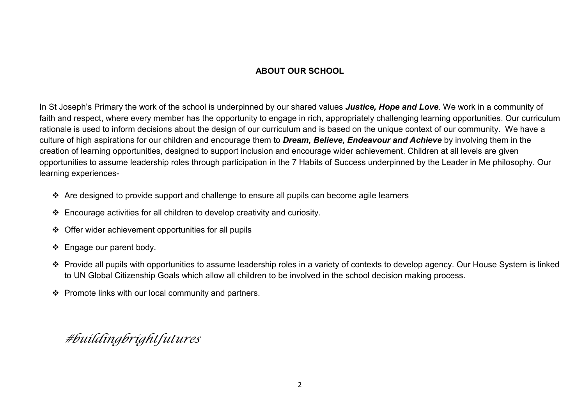## ABOUT OUR SCHOOL

In St Joseph's Primary the work of the school is underpinned by our shared values Justice, Hope and Love. We work in a community of faith and respect, where every member has the opportunity to engage in rich, appropriately challenging learning opportunities. Our curriculum rationale is used to inform decisions about the design of our curriculum and is based on the unique context of our community. We have a culture of high aspirations for our children and encourage them to Dream, Believe, Endeavour and Achieve by involving them in the creation of learning opportunities, designed to support inclusion and encourage wider achievement. Children at all levels are given opportunities to assume leadership roles through participation in the 7 Habits of Success underpinned by the Leader in Me philosophy. Our learning experiences-

- \* Are designed to provide support and challenge to ensure all pupils can become agile learners
- $\div$  Encourage activities for all children to develop creativity and curiosity.
- Offer wider achievement opportunities for all pupils
- ❖ Engage our parent body.
- Provide all pupils with opportunities to assume leadership roles in a variety of contexts to develop agency. Our House System is linked to UN Global Citizenship Goals which allow all children to be involved in the school decision making process.
- $\div$  Promote links with our local community and partners.

#buildingbrightfutures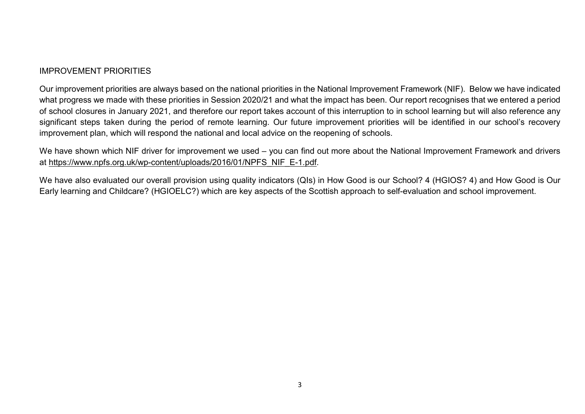### IMPROVEMENT PRIORITIES

Our improvement priorities are always based on the national priorities in the National Improvement Framework (NIF). Below we have indicated what progress we made with these priorities in Session 2020/21 and what the impact has been. Our report recognises that we entered a period of school closures in January 2021, and therefore our report takes account of this interruption to in school learning but will also reference any significant steps taken during the period of remote learning. Our future improvement priorities will be identified in our school's recovery improvement plan, which will respond the national and local advice on the reopening of schools.

We have shown which NIF driver for improvement we used – you can find out more about the National Improvement Framework and drivers at https://www.npfs.org.uk/wp-content/uploads/2016/01/NPFS\_NIF\_E-1.pdf.

We have also evaluated our overall provision using quality indicators (QIs) in How Good is our School? 4 (HGIOS? 4) and How Good is Our Early learning and Childcare? (HGIOELC?) which are key aspects of the Scottish approach to self-evaluation and school improvement.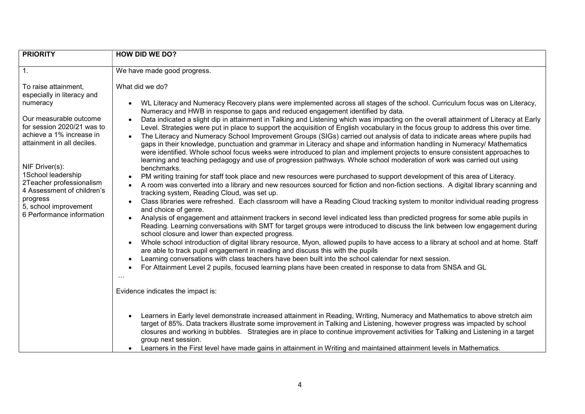| <b>PRIORITY</b>                                                                                                                                                                                                                                                                                                                                      | <b>HOW DID WE DO?</b>                                                                                                                                                                                                                                                                                                                                                                                                                                                                                                                                                                                                                                                                                                                                                                                                                                                                                                                                                                                                                                                                                                                                                                                                                                                                                                                                                                                                                                                                                                                                                                                                                                                                                                                                                                                                                                                                                                                                                                                                                                                                                                                                                                                                                                                                                                                             |  |
|------------------------------------------------------------------------------------------------------------------------------------------------------------------------------------------------------------------------------------------------------------------------------------------------------------------------------------------------------|---------------------------------------------------------------------------------------------------------------------------------------------------------------------------------------------------------------------------------------------------------------------------------------------------------------------------------------------------------------------------------------------------------------------------------------------------------------------------------------------------------------------------------------------------------------------------------------------------------------------------------------------------------------------------------------------------------------------------------------------------------------------------------------------------------------------------------------------------------------------------------------------------------------------------------------------------------------------------------------------------------------------------------------------------------------------------------------------------------------------------------------------------------------------------------------------------------------------------------------------------------------------------------------------------------------------------------------------------------------------------------------------------------------------------------------------------------------------------------------------------------------------------------------------------------------------------------------------------------------------------------------------------------------------------------------------------------------------------------------------------------------------------------------------------------------------------------------------------------------------------------------------------------------------------------------------------------------------------------------------------------------------------------------------------------------------------------------------------------------------------------------------------------------------------------------------------------------------------------------------------------------------------------------------------------------------------------------------------|--|
| $\overline{1}$ .                                                                                                                                                                                                                                                                                                                                     | We have made good progress.                                                                                                                                                                                                                                                                                                                                                                                                                                                                                                                                                                                                                                                                                                                                                                                                                                                                                                                                                                                                                                                                                                                                                                                                                                                                                                                                                                                                                                                                                                                                                                                                                                                                                                                                                                                                                                                                                                                                                                                                                                                                                                                                                                                                                                                                                                                       |  |
| To raise attainment,<br>especially in literacy and<br>numeracy<br>Our measurable outcome<br>for session 2020/21 was to<br>achieve a 1% increase in<br>attainment in all deciles.<br>NIF Driver(s):<br>1School leadership<br>2Teacher professionalism<br>4 Assessment of children's<br>progress<br>5, school improvement<br>6 Performance information | What did we do?<br>WL Literacy and Numeracy Recovery plans were implemented across all stages of the school. Curriculum focus was on Literacy,<br>Numeracy and HWB in response to gaps and reduced engagement identified by data.<br>Data indicated a slight dip in attainment in Talking and Listening which was impacting on the overall attainment of Literacy at Early<br>Level. Strategies were put in place to support the acquisition of English vocabulary in the focus group to address this over time.<br>The Literacy and Numeracy School Improvement Groups (SIGs) carried out analysis of data to indicate areas where pupils had<br>gaps in their knowledge, punctuation and grammar in Literacy and shape and information handling in Numeracy/ Mathematics<br>were identified. Whole school focus weeks were introduced to plan and implement projects to ensure consistent approaches to<br>learning and teaching pedagogy and use of progression pathways. Whole school moderation of work was carried out using<br>benchmarks.<br>PM writing training for staff took place and new resources were purchased to support development of this area of Literacy.<br>A room was converted into a library and new resources sourced for fiction and non-fiction sections. A digital library scanning and<br>tracking system, Reading Cloud, was set up.<br>Class libraries were refreshed. Each classroom will have a Reading Cloud tracking system to monitor individual reading progress<br>and choice of genre.<br>Analysis of engagement and attainment trackers in second level indicated less than predicted progress for some able pupils in<br>Reading. Learning conversations with SMT for target groups were introduced to discuss the link between low engagement during<br>school closure and lower than expected progress.<br>Whole school introduction of digital library resource, Myon, allowed pupils to have access to a library at school and at home. Staff<br>are able to track pupil engagement in reading and discuss this with the pupils<br>Learning conversations with class teachers have been built into the school calendar for next session.<br>For Attainment Level 2 pupils, focused learning plans have been created in response to data from SNSA and GL<br>.<br>Evidence indicates the impact is: |  |
|                                                                                                                                                                                                                                                                                                                                                      | Learners in Early level demonstrate increased attainment in Reading, Writing, Numeracy and Mathematics to above stretch aim<br>target of 85%. Data trackers illustrate some improvement in Talking and Listening, however progress was impacted by school<br>closures and working in bubbles. Strategies are in place to continue improvement activities for Talking and Listening in a target<br>group next session.<br>Learners in the First level have made gains in attainment in Writing and maintained attainment levels in Mathematics.                                                                                                                                                                                                                                                                                                                                                                                                                                                                                                                                                                                                                                                                                                                                                                                                                                                                                                                                                                                                                                                                                                                                                                                                                                                                                                                                                                                                                                                                                                                                                                                                                                                                                                                                                                                                    |  |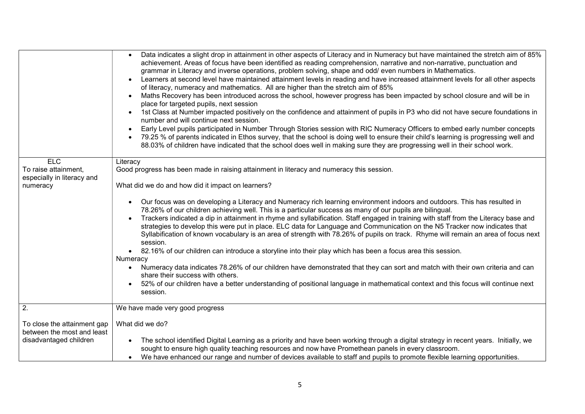|                                                           | Data indicates a slight drop in attainment in other aspects of Literacy and in Numeracy but have maintained the stretch aim of 85%<br>achievement. Areas of focus have been identified as reading comprehension, narrative and non-narrative, punctuation and<br>grammar in Literacy and inverse operations, problem solving, shape and odd/ even numbers in Mathematics.<br>Learners at second level have maintained attainment levels in reading and have increased attainment levels for all other aspects<br>of literacy, numeracy and mathematics. All are higher than the stretch aim of 85%<br>Maths Recovery has been introduced across the school, however progress has been impacted by school closure and will be in<br>place for targeted pupils, next session<br>1st Class at Number impacted positively on the confidence and attainment of pupils in P3 who did not have secure foundations in<br>number and will continue next session.<br>Early Level pupils participated in Number Through Stories session with RIC Numeracy Officers to embed early number concepts<br>79.25 % of parents indicated in Ethos survey, that the school is doing well to ensure their child's learning is progressing well and<br>88.03% of children have indicated that the school does well in making sure they are progressing well in their school work. |
|-----------------------------------------------------------|--------------------------------------------------------------------------------------------------------------------------------------------------------------------------------------------------------------------------------------------------------------------------------------------------------------------------------------------------------------------------------------------------------------------------------------------------------------------------------------------------------------------------------------------------------------------------------------------------------------------------------------------------------------------------------------------------------------------------------------------------------------------------------------------------------------------------------------------------------------------------------------------------------------------------------------------------------------------------------------------------------------------------------------------------------------------------------------------------------------------------------------------------------------------------------------------------------------------------------------------------------------------------------------------------------------------------------------------------------------|
| <b>ELC</b>                                                | Literacy                                                                                                                                                                                                                                                                                                                                                                                                                                                                                                                                                                                                                                                                                                                                                                                                                                                                                                                                                                                                                                                                                                                                                                                                                                                                                                                                                     |
| To raise attainment,<br>especially in literacy and        | Good progress has been made in raising attainment in literacy and numeracy this session.                                                                                                                                                                                                                                                                                                                                                                                                                                                                                                                                                                                                                                                                                                                                                                                                                                                                                                                                                                                                                                                                                                                                                                                                                                                                     |
| numeracy                                                  | What did we do and how did it impact on learners?                                                                                                                                                                                                                                                                                                                                                                                                                                                                                                                                                                                                                                                                                                                                                                                                                                                                                                                                                                                                                                                                                                                                                                                                                                                                                                            |
|                                                           | Our focus was on developing a Literacy and Numeracy rich learning environment indoors and outdoors. This has resulted in<br>78.26% of our children achieving well. This is a particular success as many of our pupils are bilingual.<br>Trackers indicated a dip in attainment in rhyme and syllabification. Staff engaged in training with staff from the Literacy base and<br>strategies to develop this were put in place. ELC data for Language and Communication on the N5 Tracker now indicates that<br>Syllabification of known vocabulary is an area of strength with 78.26% of pupils on track. Rhyme will remain an area of focus next<br>session.<br>• 82.16% of our children can introduce a storyline into their play which has been a focus area this session.                                                                                                                                                                                                                                                                                                                                                                                                                                                                                                                                                                                 |
|                                                           | Numeracy                                                                                                                                                                                                                                                                                                                                                                                                                                                                                                                                                                                                                                                                                                                                                                                                                                                                                                                                                                                                                                                                                                                                                                                                                                                                                                                                                     |
|                                                           | Numeracy data indicates 78.26% of our children have demonstrated that they can sort and match with their own criteria and can<br>share their success with others.                                                                                                                                                                                                                                                                                                                                                                                                                                                                                                                                                                                                                                                                                                                                                                                                                                                                                                                                                                                                                                                                                                                                                                                            |
|                                                           | 52% of our children have a better understanding of positional language in mathematical context and this focus will continue next<br>session.                                                                                                                                                                                                                                                                                                                                                                                                                                                                                                                                                                                                                                                                                                                                                                                                                                                                                                                                                                                                                                                                                                                                                                                                                 |
| 2.                                                        | We have made very good progress                                                                                                                                                                                                                                                                                                                                                                                                                                                                                                                                                                                                                                                                                                                                                                                                                                                                                                                                                                                                                                                                                                                                                                                                                                                                                                                              |
| To close the attainment gap<br>between the most and least | What did we do?                                                                                                                                                                                                                                                                                                                                                                                                                                                                                                                                                                                                                                                                                                                                                                                                                                                                                                                                                                                                                                                                                                                                                                                                                                                                                                                                              |
| disadvantaged children                                    | The school identified Digital Learning as a priority and have been working through a digital strategy in recent years. Initially, we<br>sought to ensure high quality teaching resources and now have Promethean panels in every classroom.<br>We have enhanced our range and number of devices available to staff and pupils to promote flexible learning opportunities.                                                                                                                                                                                                                                                                                                                                                                                                                                                                                                                                                                                                                                                                                                                                                                                                                                                                                                                                                                                    |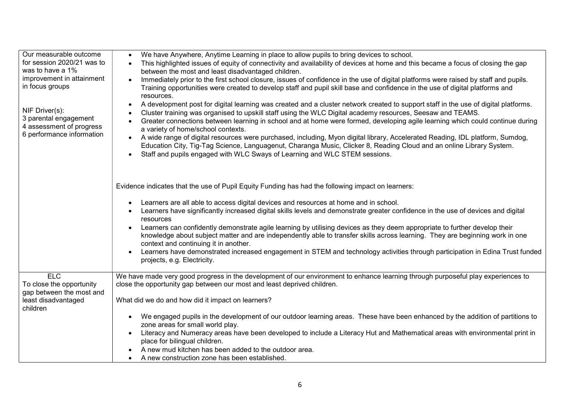| Our measurable outcome                            | We have Anywhere, Anytime Learning in place to allow pupils to bring devices to school.                                                                             |
|---------------------------------------------------|---------------------------------------------------------------------------------------------------------------------------------------------------------------------|
| for session 2020/21 was to                        | This highlighted issues of equity of connectivity and availability of devices at home and this became a focus of closing the gap                                    |
| was to have a 1%                                  | between the most and least disadvantaged children.                                                                                                                  |
| improvement in attainment                         | Immediately prior to the first school closure, issues of confidence in the use of digital platforms were raised by staff and pupils.                                |
| in focus groups                                   | Training opportunities were created to develop staff and pupil skill base and confidence in the use of digital platforms and                                        |
|                                                   | resources.                                                                                                                                                          |
|                                                   | A development post for digital learning was created and a cluster network created to support staff in the use of digital platforms.                                 |
| NIF Driver(s):                                    | Cluster training was organised to upskill staff using the WLC Digital academy resources, Seesaw and TEAMS.                                                          |
| 3 parental engagement<br>4 assessment of progress | Greater connections between learning in school and at home were formed, developing agile learning which could continue during<br>a variety of home/school contexts. |
| 6 performance information                         | A wide range of digital resources were purchased, including, Myon digital library, Accelerated Reading, IDL platform, Sumdog,                                       |
|                                                   | Education City, Tig-Tag Science, Languagenut, Charanga Music, Clicker 8, Reading Cloud and an online Library System.                                                |
|                                                   | Staff and pupils engaged with WLC Sways of Learning and WLC STEM sessions.                                                                                          |
|                                                   |                                                                                                                                                                     |
|                                                   | Evidence indicates that the use of Pupil Equity Funding has had the following impact on learners:                                                                   |
|                                                   |                                                                                                                                                                     |
|                                                   | Learners are all able to access digital devices and resources at home and in school.                                                                                |
|                                                   | Learners have significantly increased digital skills levels and demonstrate greater confidence in the use of devices and digital<br>resources                       |
|                                                   | Learners can confidently demonstrate agile learning by utilising devices as they deem appropriate to further develop their                                          |
|                                                   | knowledge about subject matter and are independently able to transfer skills across learning. They are beginning work in one                                        |
|                                                   | context and continuing it in another.                                                                                                                               |
|                                                   | Learners have demonstrated increased engagement in STEM and technology activities through participation in Edina Trust funded                                       |
|                                                   | projects, e.g. Electricity.                                                                                                                                         |
| ELC                                               | We have made very good progress in the development of our environment to enhance learning through purposeful play experiences to                                    |
| To close the opportunity                          | close the opportunity gap between our most and least deprived children.                                                                                             |
| gap between the most and                          |                                                                                                                                                                     |
| least disadvantaged                               | What did we do and how did it impact on learners?                                                                                                                   |
| children                                          |                                                                                                                                                                     |
|                                                   | We engaged pupils in the development of our outdoor learning areas. These have been enhanced by the addition of partitions to                                       |
|                                                   | zone areas for small world play.                                                                                                                                    |
|                                                   | Literacy and Numeracy areas have been developed to include a Literacy Hut and Mathematical areas with environmental print in                                        |
|                                                   | place for bilingual children.                                                                                                                                       |
|                                                   | A new mud kitchen has been added to the outdoor area.                                                                                                               |
|                                                   | A new construction zone has been established.                                                                                                                       |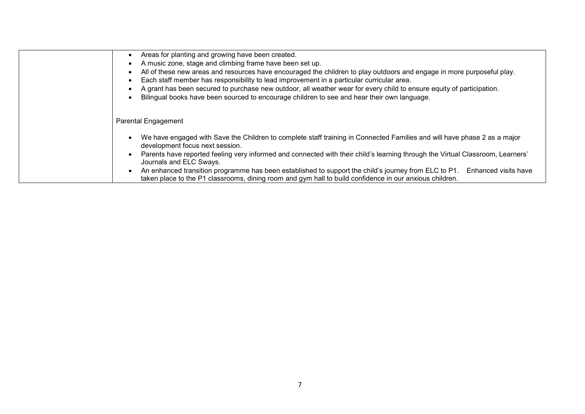| Areas for planting and growing have been created.<br>$\bullet$<br>A music zone, stage and climbing frame have been set up.<br>$\bullet$<br>All of these new areas and resources have encouraged the children to play outdoors and engage in more purposeful play.<br>$\bullet$<br>Each staff member has responsibility to lead improvement in a particular curricular area.<br>$\bullet$<br>A grant has been secured to purchase new outdoor, all weather wear for every child to ensure equity of participation.<br>Bilingual books have been sourced to encourage children to see and hear their own language.<br>$\bullet$ |
|-------------------------------------------------------------------------------------------------------------------------------------------------------------------------------------------------------------------------------------------------------------------------------------------------------------------------------------------------------------------------------------------------------------------------------------------------------------------------------------------------------------------------------------------------------------------------------------------------------------------------------|
| <b>Parental Engagement</b>                                                                                                                                                                                                                                                                                                                                                                                                                                                                                                                                                                                                    |
| We have engaged with Save the Children to complete staff training in Connected Families and will have phase 2 as a major<br>$\bullet$<br>development focus next session.                                                                                                                                                                                                                                                                                                                                                                                                                                                      |
| Parents have reported feeling very informed and connected with their child's learning through the Virtual Classroom, Learners'<br>Journals and ELC Sways.                                                                                                                                                                                                                                                                                                                                                                                                                                                                     |
| An enhanced transition programme has been established to support the child's journey from ELC to P1.<br>Enhanced visits have<br>$\bullet$<br>taken place to the P1 classrooms, dining room and gym hall to build confidence in our anxious children.                                                                                                                                                                                                                                                                                                                                                                          |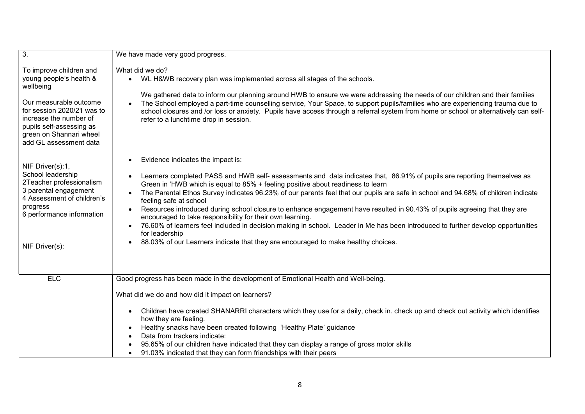| $\overline{3}$ .                                                                                                                                                                                                                   | We have made very good progress.                                                                                                                                                                                                                                                                                                                                                                                                                                                                                                                                                                                                                                                                                                                                                                                                                                                           |  |  |
|------------------------------------------------------------------------------------------------------------------------------------------------------------------------------------------------------------------------------------|--------------------------------------------------------------------------------------------------------------------------------------------------------------------------------------------------------------------------------------------------------------------------------------------------------------------------------------------------------------------------------------------------------------------------------------------------------------------------------------------------------------------------------------------------------------------------------------------------------------------------------------------------------------------------------------------------------------------------------------------------------------------------------------------------------------------------------------------------------------------------------------------|--|--|
| To improve children and<br>young people's health &<br>wellbeing<br>Our measurable outcome<br>for session 2020/21 was to<br>increase the number of<br>pupils self-assessing as<br>green on Shannari wheel<br>add GL assessment data | What did we do?<br>WL H&WB recovery plan was implemented across all stages of the schools.<br>$\bullet$<br>We gathered data to inform our planning around HWB to ensure we were addressing the needs of our children and their families<br>The School employed a part-time counselling service, Your Space, to support pupils/families who are experiencing trauma due to<br>school closures and /or loss or anxiety. Pupils have access through a referral system from home or school or alternatively can self-<br>refer to a lunchtime drop in session.                                                                                                                                                                                                                                                                                                                                 |  |  |
| NIF Driver(s):1,<br>School leadership<br>2Teacher professionalism<br>3 parental engagement<br>4 Assessment of children's<br>progress<br>6 performance information<br>NIF Driver(s):                                                | Evidence indicates the impact is:<br>$\bullet$<br>Learners completed PASS and HWB self- assessments and data indicates that, 86.91% of pupils are reporting themselves as<br>$\bullet$<br>Green in 'HWB which is equal to 85% + feeling positive about readiness to learn<br>The Parental Ethos Survey indicates 96.23% of our parents feel that our pupils are safe in school and 94.68% of children indicate<br>feeling safe at school<br>Resources introduced during school closure to enhance engagement have resulted in 90.43% of pupils agreeing that they are<br>encouraged to take responsibility for their own learning.<br>76.60% of learners feel included in decision making in school. Leader in Me has been introduced to further develop opportunities<br>for leadership<br>88.03% of our Learners indicate that they are encouraged to make healthy choices.<br>$\bullet$ |  |  |
| <b>ELC</b>                                                                                                                                                                                                                         | Good progress has been made in the development of Emotional Health and Well-being.                                                                                                                                                                                                                                                                                                                                                                                                                                                                                                                                                                                                                                                                                                                                                                                                         |  |  |
|                                                                                                                                                                                                                                    | What did we do and how did it impact on learners?                                                                                                                                                                                                                                                                                                                                                                                                                                                                                                                                                                                                                                                                                                                                                                                                                                          |  |  |
|                                                                                                                                                                                                                                    | Children have created SHANARRI characters which they use for a daily, check in. check up and check out activity which identifies<br>$\bullet$<br>how they are feeling.<br>Healthy snacks have been created following 'Healthy Plate' guidance<br>$\bullet$<br>Data from trackers indicate:<br>$\bullet$<br>95.65% of our children have indicated that they can display a range of gross motor skills<br>$\bullet$<br>91.03% indicated that they can form friendships with their peers<br>$\bullet$                                                                                                                                                                                                                                                                                                                                                                                         |  |  |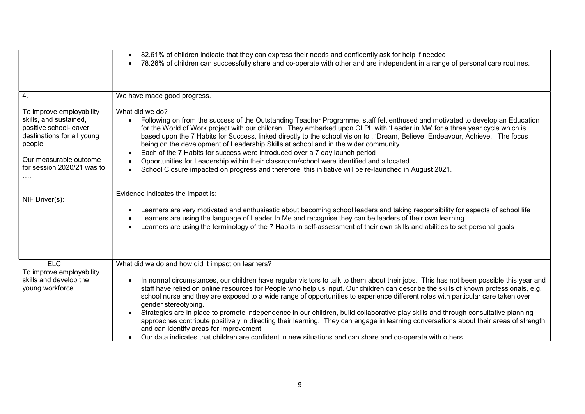|                                                                                                                                                                              | 82.61% of children indicate that they can express their needs and confidently ask for help if needed<br>$\bullet$<br>78.26% of children can successfully share and co-operate with other and are independent in a range of personal care routines.                                                                                                                                                                                                                                                                                                                                                                                                                                                                                                                                                                                                                                  |
|------------------------------------------------------------------------------------------------------------------------------------------------------------------------------|-------------------------------------------------------------------------------------------------------------------------------------------------------------------------------------------------------------------------------------------------------------------------------------------------------------------------------------------------------------------------------------------------------------------------------------------------------------------------------------------------------------------------------------------------------------------------------------------------------------------------------------------------------------------------------------------------------------------------------------------------------------------------------------------------------------------------------------------------------------------------------------|
| $\overline{4}$ .                                                                                                                                                             | We have made good progress.                                                                                                                                                                                                                                                                                                                                                                                                                                                                                                                                                                                                                                                                                                                                                                                                                                                         |
| To improve employability<br>skills, and sustained,<br>positive school-leaver<br>destinations for all young<br>people<br>Our measurable outcome<br>for session 2020/21 was to | What did we do?<br>Following on from the success of the Outstanding Teacher Programme, staff felt enthused and motivated to develop an Education<br>for the World of Work project with our children. They embarked upon CLPL with 'Leader in Me' for a three year cycle which is<br>based upon the 7 Habits for Success, linked directly to the school vision to, 'Dream, Believe, Endeavour, Achieve.' The focus<br>being on the development of Leadership Skills at school and in the wider community.<br>Each of the 7 Habits for success were introduced over a 7 day launch period<br>$\bullet$<br>Opportunities for Leadership within their classroom/school were identified and allocated<br>School Closure impacted on progress and therefore, this initiative will be re-launched in August 2021.                                                                          |
| NIF Driver(s):                                                                                                                                                               | Evidence indicates the impact is:                                                                                                                                                                                                                                                                                                                                                                                                                                                                                                                                                                                                                                                                                                                                                                                                                                                   |
|                                                                                                                                                                              | Learners are very motivated and enthusiastic about becoming school leaders and taking responsibility for aspects of school life<br>$\bullet$<br>Learners are using the language of Leader In Me and recognise they can be leaders of their own learning<br>$\bullet$<br>Learners are using the terminology of the 7 Habits in self-assessment of their own skills and abilities to set personal goals                                                                                                                                                                                                                                                                                                                                                                                                                                                                               |
| <b>ELC</b>                                                                                                                                                                   | What did we do and how did it impact on learners?                                                                                                                                                                                                                                                                                                                                                                                                                                                                                                                                                                                                                                                                                                                                                                                                                                   |
| To improve employability<br>skills and develop the<br>young workforce                                                                                                        | In normal circumstances, our children have regular visitors to talk to them about their jobs. This has not been possible this year and<br>staff have relied on online resources for People who help us input. Our children can describe the skills of known professionals, e.g.<br>school nurse and they are exposed to a wide range of opportunities to experience different roles with particular care taken over<br>gender stereotyping.<br>Strategies are in place to promote independence in our children, build collaborative play skills and through consultative planning<br>approaches contribute positively in directing their learning. They can engage in learning conversations about their areas of strength<br>and can identify areas for improvement.<br>Our data indicates that children are confident in new situations and can share and co-operate with others. |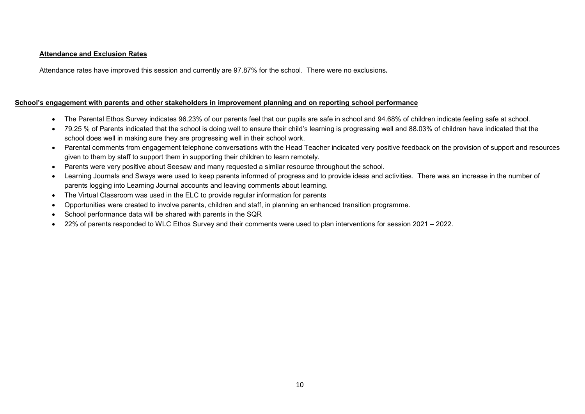#### Attendance and Exclusion Rates

Attendance rates have improved this session and currently are 97.87% for the school. There were no exclusions.

#### School's engagement with parents and other stakeholders in improvement planning and on reporting school performance

- The Parental Ethos Survey indicates 96.23% of our parents feel that our pupils are safe in school and 94.68% of children indicate feeling safe at school.
- 79.25 % of Parents indicated that the school is doing well to ensure their child's learning is progressing well and 88.03% of children have indicated that the school does well in making sure they are progressing well in their school work.
- Parental comments from engagement telephone conversations with the Head Teacher indicated very positive feedback on the provision of support and resources given to them by staff to support them in supporting their children to learn remotely.
- Parents were very positive about Seesaw and many requested a similar resource throughout the school.
- Learning Journals and Sways were used to keep parents informed of progress and to provide ideas and activities. There was an increase in the number of parents logging into Learning Journal accounts and leaving comments about learning.
- The Virtual Classroom was used in the ELC to provide regular information for parents
- Opportunities were created to involve parents, children and staff, in planning an enhanced transition programme.
- School performance data will be shared with parents in the SQR
- 22% of parents responded to WLC Ethos Survey and their comments were used to plan interventions for session 2021 2022.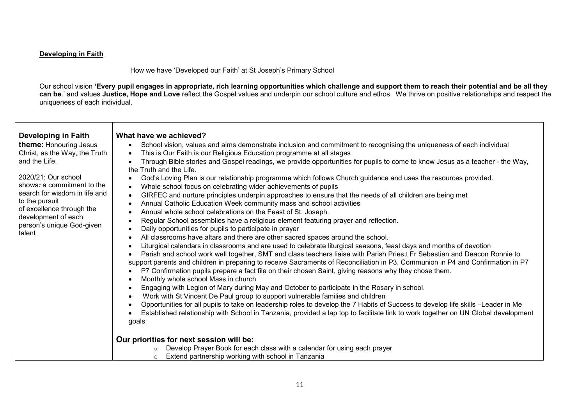#### Developing in Faith

─⊤

How we have 'Developed our Faith' at St Joseph's Primary School

Our school vision 'Every pupil engages in appropriate, rich learning opportunities which challenge and support them to reach their potential and be all they can be.' and values Justice, Hope and Love reflect the Gospel values and underpin our school culture and ethos. We thrive on positive relationships and respect the uniqueness of each individual.

 $\overline{\phantom{a}}$ 

| Developing in Faith<br><b>theme:</b> Honouring Jesus<br>Christ, as the Way, the Truth<br>and the Life.<br>2020/21: Our school<br>shows: a commitment to the<br>search for wisdom in life and<br>to the pursuit<br>of excellence through the<br>development of each<br>person's unique God-given<br>talent | What have we achieved?<br>School vision, values and aims demonstrate inclusion and commitment to recognising the uniqueness of each individual<br>$\bullet$<br>This is Our Faith is our Religious Education programme at all stages<br>$\bullet$<br>Through Bible stories and Gospel readings, we provide opportunities for pupils to come to know Jesus as a teacher - the Way,<br>the Truth and the Life.<br>God's Loving Plan is our relationship programme which follows Church guidance and uses the resources provided.<br>$\bullet$<br>Whole school focus on celebrating wider achievements of pupils<br>$\bullet$<br>GIRFEC and nurture principles underpin approaches to ensure that the needs of all children are being met<br>$\bullet$<br>Annual Catholic Education Week community mass and school activities<br>$\bullet$<br>Annual whole school celebrations on the Feast of St. Joseph.<br>Regular School assemblies have a religious element featuring prayer and reflection.<br>Daily opportunities for pupils to participate in prayer<br>$\bullet$<br>All classrooms have altars and there are other sacred spaces around the school.<br>Liturgical calendars in classrooms and are used to celebrate liturgical seasons, feast days and months of devotion<br>Parish and school work well together, SMT and class teachers liaise with Parish Pries,t Fr Sebastian and Deacon Ronnie to<br>support parents and children in preparing to receive Sacraments of Reconciliation in P3, Communion in P4 and Confirmation in P7 |
|-----------------------------------------------------------------------------------------------------------------------------------------------------------------------------------------------------------------------------------------------------------------------------------------------------------|------------------------------------------------------------------------------------------------------------------------------------------------------------------------------------------------------------------------------------------------------------------------------------------------------------------------------------------------------------------------------------------------------------------------------------------------------------------------------------------------------------------------------------------------------------------------------------------------------------------------------------------------------------------------------------------------------------------------------------------------------------------------------------------------------------------------------------------------------------------------------------------------------------------------------------------------------------------------------------------------------------------------------------------------------------------------------------------------------------------------------------------------------------------------------------------------------------------------------------------------------------------------------------------------------------------------------------------------------------------------------------------------------------------------------------------------------------------------------------------------------------------------------------------------|
|                                                                                                                                                                                                                                                                                                           | P7 Confirmation pupils prepare a fact file on their chosen Saint, giving reasons why they chose them.<br>Monthly whole school Mass in church<br>Engaging with Legion of Mary during May and October to participate in the Rosary in school.                                                                                                                                                                                                                                                                                                                                                                                                                                                                                                                                                                                                                                                                                                                                                                                                                                                                                                                                                                                                                                                                                                                                                                                                                                                                                                    |
|                                                                                                                                                                                                                                                                                                           | Work with St Vincent De Paul group to support vulnerable families and children                                                                                                                                                                                                                                                                                                                                                                                                                                                                                                                                                                                                                                                                                                                                                                                                                                                                                                                                                                                                                                                                                                                                                                                                                                                                                                                                                                                                                                                                 |
|                                                                                                                                                                                                                                                                                                           | Opportunities for all pupils to take on leadership roles to develop the 7 Habits of Success to develop life skills -Leader in Me<br>Established relationship with School in Tanzania, provided a lap top to facilitate link to work together on UN Global development<br>goals                                                                                                                                                                                                                                                                                                                                                                                                                                                                                                                                                                                                                                                                                                                                                                                                                                                                                                                                                                                                                                                                                                                                                                                                                                                                 |
|                                                                                                                                                                                                                                                                                                           | Our priorities for next session will be:<br>Develop Prayer Book for each class with a calendar for using each prayer<br>Extend partnership working with school in Tanzania                                                                                                                                                                                                                                                                                                                                                                                                                                                                                                                                                                                                                                                                                                                                                                                                                                                                                                                                                                                                                                                                                                                                                                                                                                                                                                                                                                     |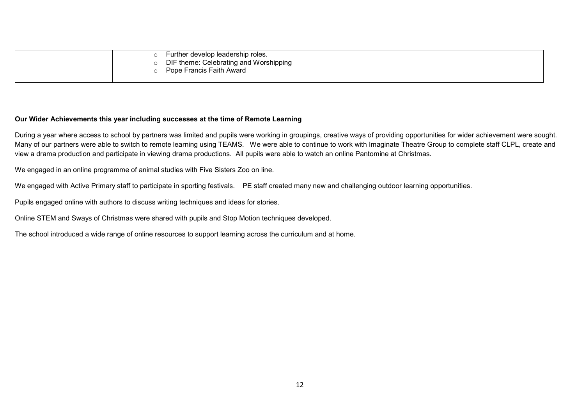|  | Further develop leadership roles.      |
|--|----------------------------------------|
|  | DIF theme: Celebrating and Worshipping |
|  | Pope Francis Faith Award               |
|  |                                        |

#### Our Wider Achievements this year including successes at the time of Remote Learning

During a year where access to school by partners was limited and pupils were working in groupings, creative ways of providing opportunities for wider achievement were sought. Many of our partners were able to switch to remote learning using TEAMS. We were able to continue to work with Imaginate Theatre Group to complete staff CLPL, create and view a drama production and participate in viewing drama productions. All pupils were able to watch an online Pantomine at Christmas.

We engaged in an online programme of animal studies with Five Sisters Zoo on line.

We engaged with Active Primary staff to participate in sporting festivals. PE staff created many new and challenging outdoor learning opportunities.

Pupils engaged online with authors to discuss writing techniques and ideas for stories.

Online STEM and Sways of Christmas were shared with pupils and Stop Motion techniques developed.

The school introduced a wide range of online resources to support learning across the curriculum and at home.